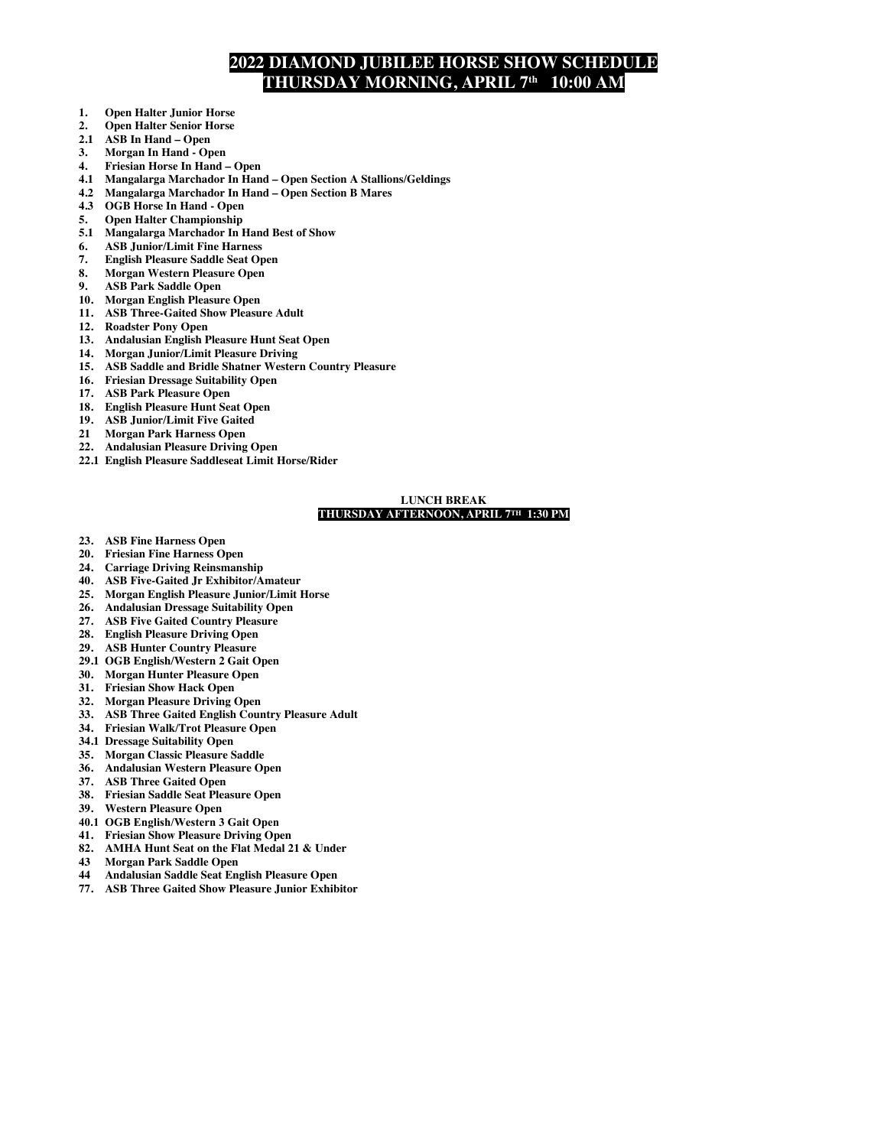# **2022 DIAMOND JUBILEE HORSE SHOW SCHEDULE THURSDAY MORNING, APRIL 7th 10:00 AM**

- **1. Open Halter Junior Horse**
- **2. Open Halter Senior Horse**
- **2.1 ASB In Hand – Open**
- **3. Morgan In Hand - Open**
- **4. Friesian Horse In Hand – Open**
- **4.1 Mangalarga Marchador In Hand – Open Section A Stallions/Geldings**
- **4.2 Mangalarga Marchador In Hand – Open Section B Mares**
- **4.3 OGB Horse In Hand - Open**
- **5. Open Halter Championship 5.1 Mangalarga Marchador In Hand Best of Show**
- 
- **6. ASB Junior/Limit Fine Harness 7. English Pleasure Saddle Seat Open**
- **8. Morgan Western Pleasure Open**
- **9. ASB Park Saddle Open**
- **10. Morgan English Pleasure Open**
- **11. ASB Three-Gaited Show Pleasure Adult**
- **12. Roadster Pony Open**
- **13. Andalusian English Pleasure Hunt Seat Open**
- **14. Morgan Junior/Limit Pleasure Driving**
- **15. ASB Saddle and Bridle Shatner Western Country Pleasure**
- **16. Friesian Dressage Suitability Open**
- **17. ASB Park Pleasure Open**
- **18. English Pleasure Hunt Seat Open**
- **19. ASB Junior/Limit Five Gaited**
- **21 Morgan Park Harness Open**
- **22. Andalusian Pleasure Driving Open**
- **22.1 English Pleasure Saddleseat Limit Horse/Rider**

#### **LUNCH BREAK THURSDAY AFTERNOON, APRIL 7TH 1:30 PM**

- **23. ASB Fine Harness Open**
- **20. Friesian Fine Harness Open**
- **24. Carriage Driving Reinsmanship**
- **40. ASB Five-Gaited Jr Exhibitor/Amateur**
- **25. Morgan English Pleasure Junior/Limit Horse**
- **26. Andalusian Dressage Suitability Open**
- **27. ASB Five Gaited Country Pleasure**
- **28. English Pleasure Driving Open**
- **29. ASB Hunter Country Pleasure**
- **29.1 OGB English/Western 2 Gait Open**
- **30. Morgan Hunter Pleasure Open**
- **31. Friesian Show Hack Open**
- **32. Morgan Pleasure Driving Open**
- **33. ASB Three Gaited English Country Pleasure Adult**
- **34. Friesian Walk/Trot Pleasure Open**
- **34.1 Dressage Suitability Open**
- **35. Morgan Classic Pleasure Saddle**
- **36. Andalusian Western Pleasure Open**
- **37. ASB Three Gaited Open**
- **38. Friesian Saddle Seat Pleasure Open**
- **39. Western Pleasure Open**
- **40.1 OGB English/Western 3 Gait Open**
- **41. Friesian Show Pleasure Driving Open**
- **82. AMHA Hunt Seat on the Flat Medal 21 & Under**
- **43 Morgan Park Saddle Open**
- **44 Andalusian Saddle Seat English Pleasure Open**
- **77. ASB Three Gaited Show Pleasure Junior Exhibitor**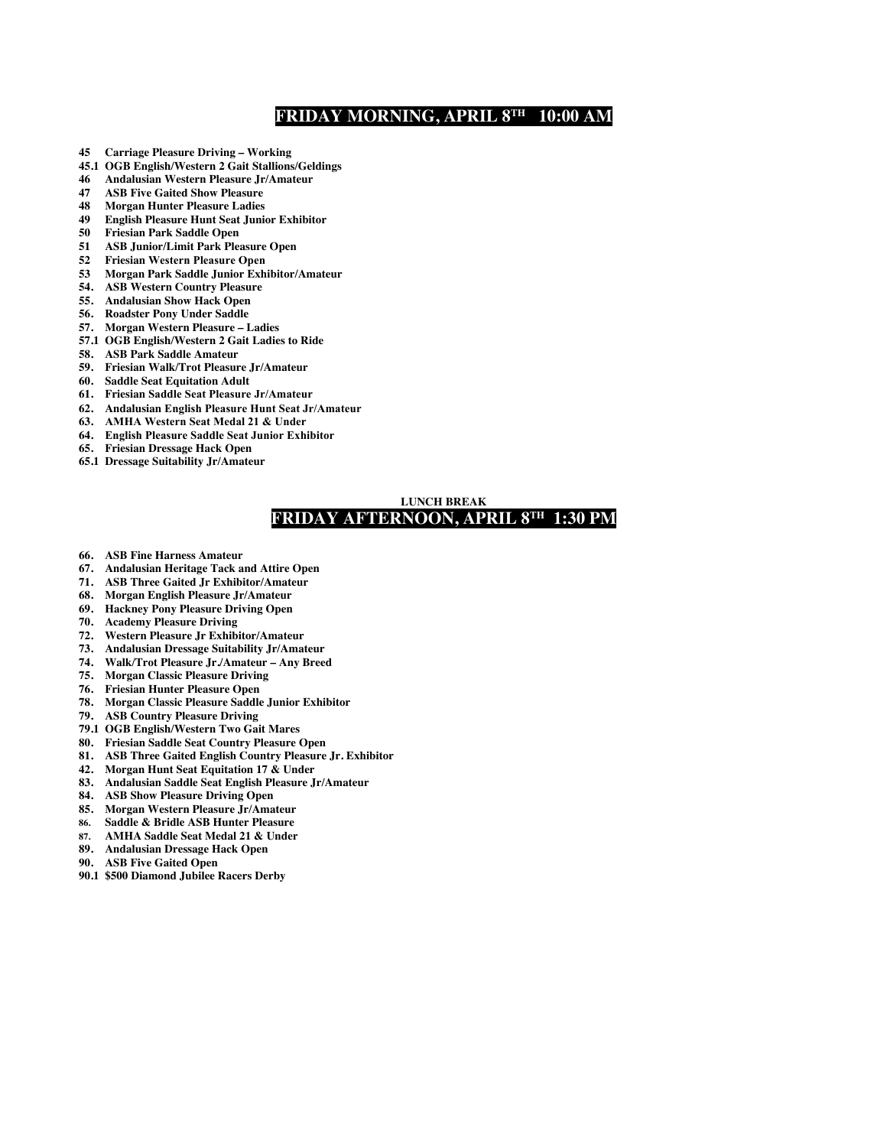## **FRIDAY MORNING, APRIL 8TH 10:00 AM**

- **45 Carriage Pleasure Driving – Working**
- **45.1 OGB English/Western 2 Gait Stallions/Geldings**
- **46 Andalusian Western Pleasure Jr/Amateur**
- **47 ASB Five Gaited Show Pleasure**
- **48 Morgan Hunter Pleasure Ladies**
- **49 English Pleasure Hunt Seat Junior Exhibitor**
- **50 Friesian Park Saddle Open**
- **51 ASB Junior/Limit Park Pleasure Open**
- **52 Friesian Western Pleasure Open**
- **53 Morgan Park Saddle Junior Exhibitor/Amateur**
- **54. ASB Western Country Pleasure**
- **55. Andalusian Show Hack Open**
- **56. Roadster Pony Under Saddle**
- **57. Morgan Western Pleasure – Ladies**
- **57.1 OGB English/Western 2 Gait Ladies to Ride**
- **58. ASB Park Saddle Amateur**
- **59. Friesian Walk/Trot Pleasure Jr/Amateur**
- **60. Saddle Seat Equitation Adult**
- **61. Friesian Saddle Seat Pleasure Jr/Amateur**
- **62. Andalusian English Pleasure Hunt Seat Jr/Amateur**
- **63. AMHA Western Seat Medal 21 & Under**
- **64. English Pleasure Saddle Seat Junior Exhibitor**
- **65. Friesian Dressage Hack Open**
- **65.1 Dressage Suitability Jr/Amateur**

### **LUNCH BREAK FRIDAY AFTERNOON, APRIL 8TH 1:30 PM**

- **66. ASB Fine Harness Amateur**
- **67. Andalusian Heritage Tack and Attire Open**
- **71. ASB Three Gaited Jr Exhibitor/Amateur**
- **68. Morgan English Pleasure Jr/Amateur**
- **69. Hackney Pony Pleasure Driving Open**
- **70. Academy Pleasure Driving**
- **72. Western Pleasure Jr Exhibitor/Amateur**
- **73. Andalusian Dressage Suitability Jr/Amateur**
- **74. Walk/Trot Pleasure Jr./Amateur – Any Breed**
- **75. Morgan Classic Pleasure Driving**
- **76. Friesian Hunter Pleasure Open**
- **78. Morgan Classic Pleasure Saddle Junior Exhibitor**
- **79. ASB Country Pleasure Driving**
- **79.1 OGB English/Western Two Gait Mares**
- **80. Friesian Saddle Seat Country Pleasure Open**
- **81. ASB Three Gaited English Country Pleasure Jr. Exhibitor**
- **42. Morgan Hunt Seat Equitation 17 & Under**
- **83. Andalusian Saddle Seat English Pleasure Jr/Amateur**
- **84. ASB Show Pleasure Driving Open**
- **85. Morgan Western Pleasure Jr/Amateur**
- 
- **86. Saddle & Bridle ASB Hunter Pleasure 87. AMHA Saddle Seat Medal 21 & Under**
- **89. Andalusian Dressage Hack Open**
- **90. ASB Five Gaited Open**
- **90.1 \$500 Diamond Jubilee Racers Derby**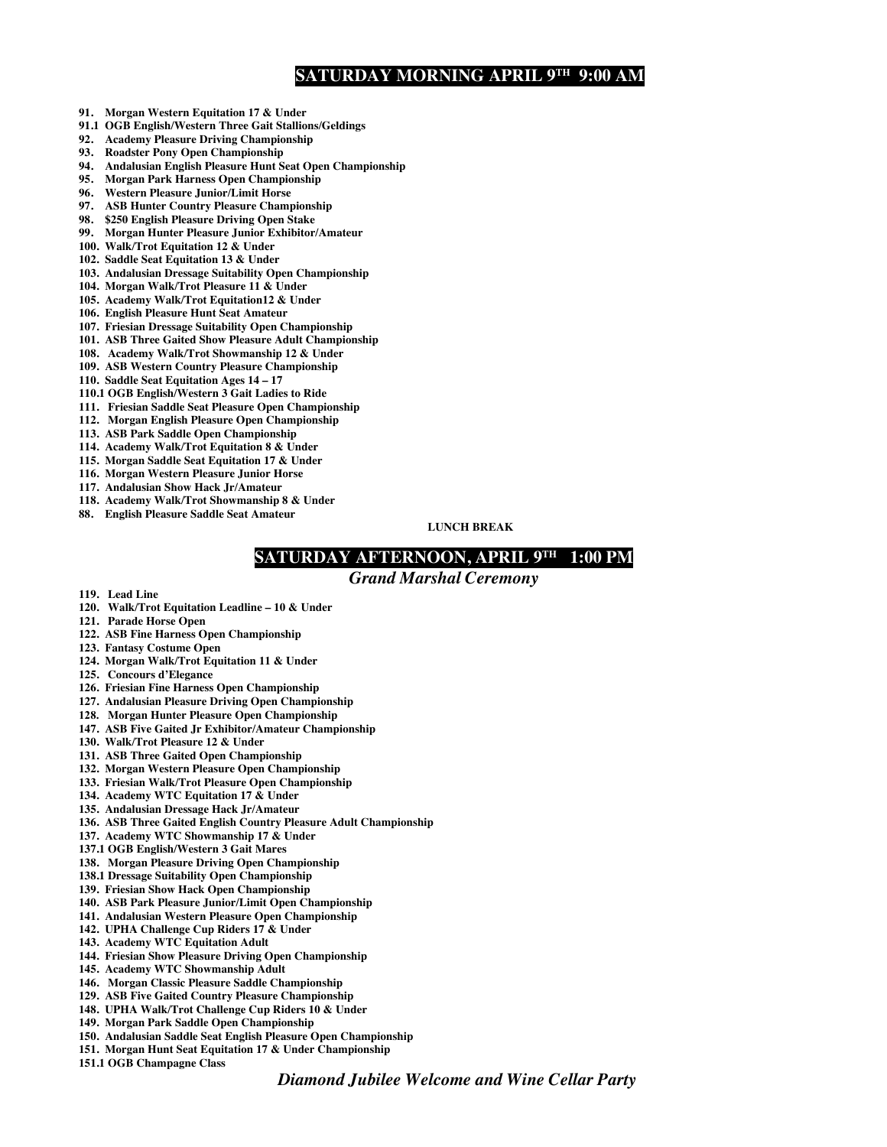## **SATURDAY MORNING APRIL 9TH 9:00 AM**

- **91. Morgan Western Equitation 17 & Under**
- **91.1 OGB English/Western Three Gait Stallions/Geldings**
- **92. Academy Pleasure Driving Championship**
- **93. Roadster Pony Open Championship**
- **94. Andalusian English Pleasure Hunt Seat Open Championship**
- **95. Morgan Park Harness Open Championship**
- **96. Western Pleasure Junior/Limit Horse**
- **97. ASB Hunter Country Pleasure Championship**
- **98. \$250 English Pleasure Driving Open Stake**
- **99. Morgan Hunter Pleasure Junior Exhibitor/Amateur**
- **100. Walk/Trot Equitation 12 & Under**
- **102. Saddle Seat Equitation 13 & Under**
- **103. Andalusian Dressage Suitability Open Championship**
- **104. Morgan Walk/Trot Pleasure 11 & Under**
- **105. Academy Walk/Trot Equitation12 & Under**
- **106. English Pleasure Hunt Seat Amateur**
- **107. Friesian Dressage Suitability Open Championship**
- **101. ASB Three Gaited Show Pleasure Adult Championship**
- **108. Academy Walk/Trot Showmanship 12 & Under**
- **109. ASB Western Country Pleasure Championship**
- **110. Saddle Seat Equitation Ages 14 – 17**
- **110.1 OGB English/Western 3 Gait Ladies to Ride**
- **111. Friesian Saddle Seat Pleasure Open Championship**
- **112. Morgan English Pleasure Open Championship**
- **113. ASB Park Saddle Open Championship**
- **114. Academy Walk/Trot Equitation 8 & Under**
- **115. Morgan Saddle Seat Equitation 17 & Under 116. Morgan Western Pleasure Junior Horse**
- **117. Andalusian Show Hack Jr/Amateur**
- **118. Academy Walk/Trot Showmanship 8 & Under**
- **88. English Pleasure Saddle Seat Amateur**

**LUNCH BREAK**

### **SATURDAY AFTERNOON, APRIL 9TH 1:00 PM**

*Grand Marshal Ceremony*

- **119. Lead Line**
- **120. Walk/Trot Equitation Leadline – 10 & Under**
- **121. Parade Horse Open**
- **122. ASB Fine Harness Open Championship**
- **123. Fantasy Costume Open**
- **124. Morgan Walk/Trot Equitation 11 & Under**
- **125. Concours d'Elegance**
- **126. Friesian Fine Harness Open Championship**
- **127. Andalusian Pleasure Driving Open Championship**
- **128. Morgan Hunter Pleasure Open Championship**
- **147. ASB Five Gaited Jr Exhibitor/Amateur Championship**
- **130. Walk/Trot Pleasure 12 & Under**
- **131. ASB Three Gaited Open Championship**
- **132. Morgan Western Pleasure Open Championship**
- **133. Friesian Walk/Trot Pleasure Open Championship**
- **134. Academy WTC Equitation 17 & Under**
- **135. Andalusian Dressage Hack Jr/Amateur**
- **136. ASB Three Gaited English Country Pleasure Adult Championship**
- **137. Academy WTC Showmanship 17 & Under**
- **137.1 OGB English/Western 3 Gait Mares**
- **138. Morgan Pleasure Driving Open Championship**
- **138.1 Dressage Suitability Open Championship**
- **139. Friesian Show Hack Open Championship**
- **140. ASB Park Pleasure Junior/Limit Open Championship**
- **141. Andalusian Western Pleasure Open Championship**
- **142. UPHA Challenge Cup Riders 17 & Under**
- **143. Academy WTC Equitation Adult**
- **144. Friesian Show Pleasure Driving Open Championship**
- **145. Academy WTC Showmanship Adult**
- **146. Morgan Classic Pleasure Saddle Championship**
- **129. ASB Five Gaited Country Pleasure Championship**
- **148. UPHA Walk/Trot Challenge Cup Riders 10 & Under**
- **149. Morgan Park Saddle Open Championship**
- **150. Andalusian Saddle Seat English Pleasure Open Championship**
- **151. Morgan Hunt Seat Equitation 17 & Under Championship**
- **151.1 OGB Champagne Class**